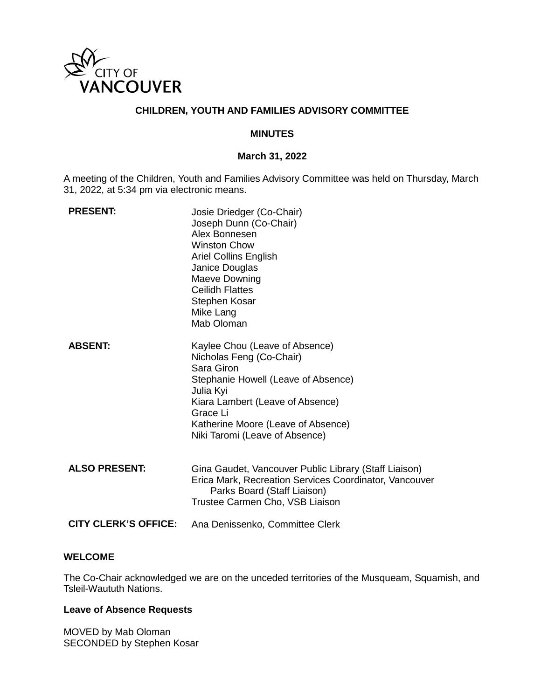

# **CHILDREN, YOUTH AND FAMILIES ADVISORY COMMITTEE**

#### **MINUTES**

#### **March 31, 2022**

A meeting of the Children, Youth and Families Advisory Committee was held on Thursday, March 31, 2022, at 5:34 pm via electronic means.

| <b>PRESENT:</b>             | Josie Driedger (Co-Chair)<br>Joseph Dunn (Co-Chair)<br>Alex Bonnesen<br><b>Winston Chow</b><br><b>Ariel Collins English</b><br>Janice Douglas<br>Maeve Downing<br><b>Ceilidh Flattes</b><br>Stephen Kosar<br>Mike Lang<br>Mab Oloman                 |
|-----------------------------|------------------------------------------------------------------------------------------------------------------------------------------------------------------------------------------------------------------------------------------------------|
| <b>ABSENT:</b>              | Kaylee Chou (Leave of Absence)<br>Nicholas Feng (Co-Chair)<br>Sara Giron<br>Stephanie Howell (Leave of Absence)<br>Julia Kyi<br>Kiara Lambert (Leave of Absence)<br>Grace Li<br>Katherine Moore (Leave of Absence)<br>Niki Taromi (Leave of Absence) |
| <b>ALSO PRESENT:</b>        | Gina Gaudet, Vancouver Public Library (Staff Liaison)<br>Erica Mark, Recreation Services Coordinator, Vancouver<br>Parks Board (Staff Liaison)<br>Trustee Carmen Cho, VSB Liaison                                                                    |
| <b>CITY CLERK'S OFFICE:</b> | Ana Denissenko, Committee Clerk                                                                                                                                                                                                                      |

## **WELCOME**

The Co-Chair acknowledged we are on the unceded territories of the Musqueam, Squamish, and Tsleil-Waututh Nations.

# **Leave of Absence Requests**

MOVED by Mab Oloman SECONDED by Stephen Kosar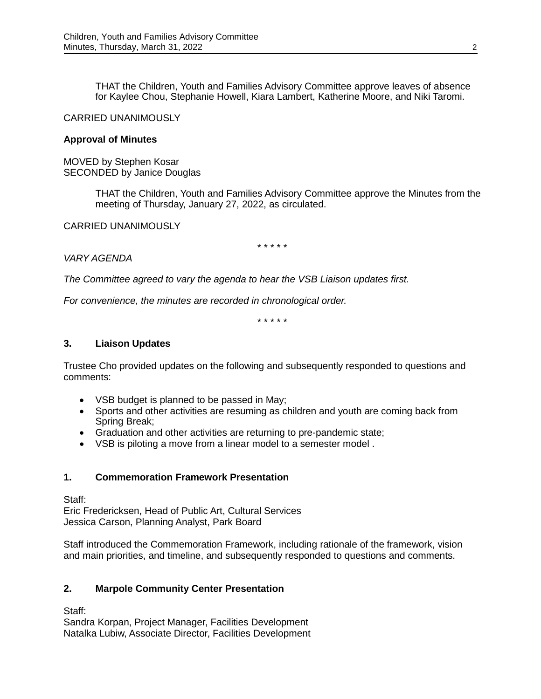THAT the Children, Youth and Families Advisory Committee approve leaves of absence for Kaylee Chou, Stephanie Howell, Kiara Lambert, Katherine Moore, and Niki Taromi.

## CARRIED UNANIMOUSLY

#### **Approval of Minutes**

MOVED by Stephen Kosar SECONDED by Janice Douglas

> THAT the Children, Youth and Families Advisory Committee approve the Minutes from the meeting of Thursday, January 27, 2022, as circulated.

CARRIED UNANIMOUSLY

\* \* \* \* \*

### *VARY AGENDA*

*The Committee agreed to vary the agenda to hear the VSB Liaison updates first.* 

*For convenience, the minutes are recorded in chronological order.*

\* \* \* \* \*

#### **3. Liaison Updates**

Trustee Cho provided updates on the following and subsequently responded to questions and comments:

- VSB budget is planned to be passed in May;
- Sports and other activities are resuming as children and youth are coming back from Spring Break;
- Graduation and other activities are returning to pre-pandemic state;
- VSB is piloting a move from a linear model to a semester model .

### **1. Commemoration Framework Presentation**

Staff:

Eric Fredericksen, Head of Public Art, Cultural Services Jessica Carson, Planning Analyst, Park Board

Staff introduced the Commemoration Framework, including rationale of the framework, vision and main priorities, and timeline, and subsequently responded to questions and comments.

### **2. Marpole Community Center Presentation**

Staff:

Sandra Korpan, Project Manager, Facilities Development Natalka Lubiw, Associate Director, Facilities Development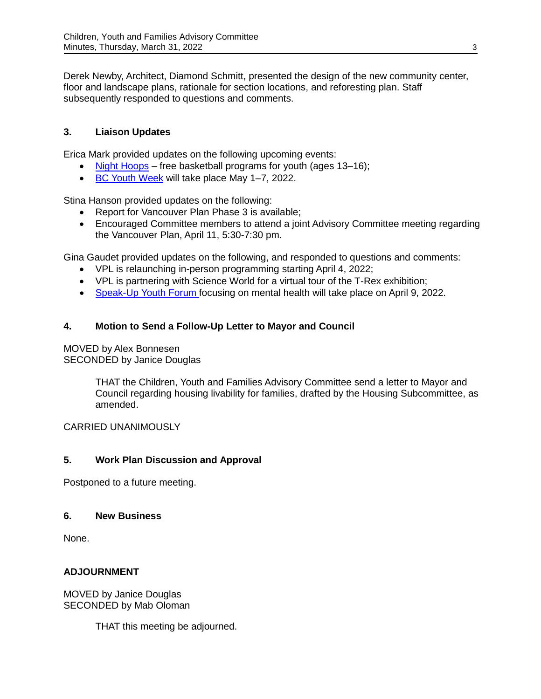Derek Newby, Architect, Diamond Schmitt, presented the design of the new community center, floor and landscape plans, rationale for section locations, and reforesting plan. Staff subsequently responded to questions and comments.

# **3. Liaison Updates**

Erica Mark provided updates on the following upcoming events:

- [Night Hoops](https://www.nighthoops.ca/)  free basketball programs for youth (ages 13–16);
- [BC Youth Week](https://www.bcyouthweek.com/) will take place May 1–7, 2022.

Stina Hanson provided updates on the following:

- Report for Vancouver Plan Phase 3 is available;
- Encouraged Committee members to attend a joint Advisory Committee meeting regarding the Vancouver Plan, April 11, 5:30-7:30 pm.

Gina Gaudet provided updates on the following, and responded to questions and comments:

- VPL is relaunching in-person programming starting April 4, 2022;
- VPL is partnering with Science World for a virtual tour of the T-Rex exhibition;
- [Speak-Up Youth Forum f](https://vpl.bibliocommons.com/events/62203a9442683b290008e615)ocusing on mental health will take place on April 9, 2022.

# **4. Motion to Send a Follow-Up Letter to Mayor and Council**

#### MOVED by Alex Bonnesen SECONDED by Janice Douglas

THAT the Children, Youth and Families Advisory Committee send a letter to Mayor and Council regarding housing livability for families, drafted by the Housing Subcommittee, as amended.

CARRIED UNANIMOUSLY

## **5. Work Plan Discussion and Approval**

Postponed to a future meeting.

## **6. New Business**

None.

# **ADJOURNMENT**

MOVED by Janice Douglas SECONDED by Mab Oloman

THAT this meeting be adjourned.